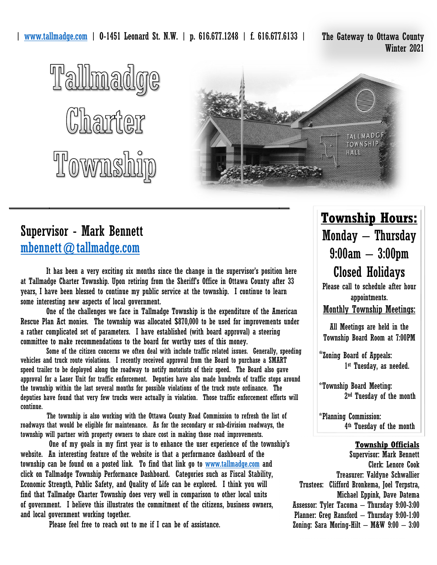Winter 2021





### Supervisor - Mark Bennett [mbennett@tallmadge.com](mailto:mbennett@tallmadge.com)

 It has been a very exciting six months since the change in the supervisor's position here at Tallmadge Charter Township. Upon retiring from the Sheriff's Office in Ottawa County after 33 years, I have been blessed to continue my public service at the township. I continue to learn some interesting new aspects of local government.

 One of the challenges we face in Tallmadge Township is the expenditure of the American Rescue Plan Act monies. The township was allocated \$870,000 to be used for improvements under a rather complicated set of parameters. I have established (with board approval) a steering committee to make recommendations to the board for worthy uses of this money.

Some of the citizen concerns we often deal with include traffic related issues. Generally, speeding vehicles and truck route violations. I recently received approval from the Board to purchase a SMART speed trailer to be deployed along the roadway to notify motorists of their speed. The Board also gave approval for a Laser Unit for traffic enforcement. Deputies have also made hundreds of traffic stops around the township within the last several months for possible violations of the truck route ordinance. The deputies have found that very few trucks were actually in violation. Those traffic enforcement efforts will continue.

 The township is also working with the Ottawa County Road Commission to refresh the list of roadways that would be eligible for maintenance. As for the secondary or sub-division roadways, the township will partner with property owners to share cost in making those road improvements.

 One of my goals in my first year is to enhance the user experience of the township's website. An interesting feature of the website is that a performance dashboard of the township can be found on a posted link. To find that link go to [www.tallmadge.com](http://www.tallmadge.com/) and click on Tallmadge Township Performance Dashboard. Categories such as Fiscal Stability, Economic Strength, Public Safety, and Quality of Life can be explored. I think you will find that Tallmadge Charter Township does very well in comparison to other local units of government. I believe this illustrates the commitment of the citizens, business owners, and local government working together.

Please feel free to reach out to me if I can be of assistance.

## **Township Hours:** Monday – Thursday 9:00am – 3:00pm Closed Holidays

Please call to schedule after hour appointments. Monthly Township Meetings:

All Meetings are held in the Township Board Room at 7:00PM

\*Zoning Board of Appeals: 1 st Tuesday, as needed.

\*Township Board Meeting: 2 nd Tuesday of the month

\*Planning Commission: 4 th Tuesday of the month

#### **Township Officials**

Supervisor: Mark Bennett Clerk: Lenore Cook Treasurer: Valdyne Schwallier Trustees: Clifford Bronkema, Joel Terpstra, Michael Eppink, Dave Datema Assessor: Tyler Tacoma – Thursday 9:00-3:00 Planner: Greg Ransford – Thursday 9:00-1:00 Zoning: Sara Moring-Hilt  $-$  M&W  $9:00 - 3:00$